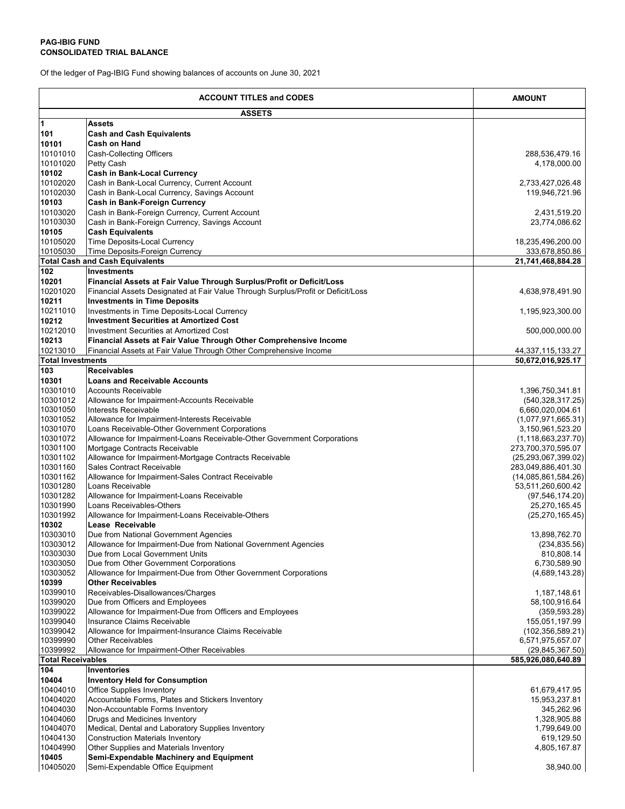Of the ledger of Pag-IBIG Fund showing balances of accounts on June 30, 2021

| <b>ACCOUNT TITLES and CODES</b> |                                                                                                                                                           | <b>AMOUNT</b>                          |
|---------------------------------|-----------------------------------------------------------------------------------------------------------------------------------------------------------|----------------------------------------|
|                                 | <b>ASSETS</b>                                                                                                                                             |                                        |
| $\mathbf 1$                     | Assets                                                                                                                                                    |                                        |
| 101                             | <b>Cash and Cash Equivalents</b>                                                                                                                          |                                        |
| 10101                           | Cash on Hand                                                                                                                                              |                                        |
| 10101010                        | Cash-Collecting Officers                                                                                                                                  | 288,536,479.16                         |
| 10101020<br>10102               | Petty Cash                                                                                                                                                | 4,178,000.00                           |
| 10102020                        | <b>Cash in Bank-Local Currency</b><br>Cash in Bank-Local Currency, Current Account                                                                        | 2,733,427,026.48                       |
| 10102030                        | Cash in Bank-Local Currency, Savings Account                                                                                                              | 119,946,721.96                         |
| 10103                           | <b>Cash in Bank-Foreign Currency</b>                                                                                                                      |                                        |
| 10103020                        | Cash in Bank-Foreign Currency, Current Account                                                                                                            | 2,431,519.20                           |
| 10103030                        | Cash in Bank-Foreign Currency, Savings Account                                                                                                            | 23,774,086.62                          |
| 10105                           | <b>Cash Equivalents</b>                                                                                                                                   |                                        |
| 10105020                        | Time Deposits-Local Currency                                                                                                                              | 18,235,496,200.00                      |
| 10105030                        | Time Deposits-Foreign Currency                                                                                                                            | 333,678,850.86                         |
|                                 | <b>Total Cash and Cash Equivalents</b>                                                                                                                    | 21,741,468,884.28                      |
| $\overline{1}02$                | <b>Investments</b>                                                                                                                                        |                                        |
| 10201<br>10201020               | Financial Assets at Fair Value Through Surplus/Profit or Deficit/Loss<br>Financial Assets Designated at Fair Value Through Surplus/Profit or Deficit/Loss |                                        |
| 10211                           | <b>Investments in Time Deposits</b>                                                                                                                       | 4,638,978,491.90                       |
| 10211010                        | Investments in Time Deposits-Local Currency                                                                                                               | 1,195,923,300.00                       |
| 10212                           | <b>Investment Securities at Amortized Cost</b>                                                                                                            |                                        |
| 10212010                        | <b>Investment Securities at Amortized Cost</b>                                                                                                            | 500,000,000.00                         |
| 10213                           | Financial Assets at Fair Value Through Other Comprehensive Income                                                                                         |                                        |
| 10213010                        | Financial Assets at Fair Value Through Other Comprehensive Income                                                                                         | 44, 337, 115, 133. 27                  |
| <b>Total Investments</b>        |                                                                                                                                                           | 50,672,016,925.17                      |
| 103                             | <b>Receivables</b>                                                                                                                                        |                                        |
| 10301                           | <b>Loans and Receivable Accounts</b>                                                                                                                      |                                        |
| 10301010                        | <b>Accounts Receivable</b>                                                                                                                                | 1,396,750,341.81                       |
| 10301012<br>10301050            | Allowance for Impairment-Accounts Receivable<br>Interests Receivable                                                                                      | (540, 328, 317.25)<br>6,660,020,004.61 |
| 10301052                        | Allowance for Impairment-Interests Receivable                                                                                                             | (1,077,971,665.31)                     |
| 10301070                        | Loans Receivable-Other Government Corporations                                                                                                            | 3,150,961,523.20                       |
| 10301072                        | Allowance for Impairment-Loans Receivable-Other Government Corporations                                                                                   | (1, 118, 663, 237.70)                  |
| 10301100                        | Mortgage Contracts Receivable                                                                                                                             | 273,700,370,595.07                     |
| 10301102                        | Allowance for Impairment-Mortgage Contracts Receivable                                                                                                    | (25, 293, 067, 399.02)                 |
| 10301160                        | Sales Contract Receivable                                                                                                                                 | 283,049,886,401.30                     |
| 10301162                        | Allowance for Impairment-Sales Contract Receivable                                                                                                        | (14,085,861,584.26)                    |
| 10301280<br>10301282            | Loans Receivable<br>Allowance for Impairment-Loans Receivable                                                                                             | 53,511,260,600.42                      |
| 10301990                        | Loans Receivables-Others                                                                                                                                  | (97, 546, 174.20)<br>25,270,165.45     |
| 10301992                        | Allowance for Impairment-Loans Receivable-Others                                                                                                          | (25, 270, 165.45)                      |
| 10302                           | Lease Receivable                                                                                                                                          |                                        |
| 10303010                        | Due from National Government Agencies                                                                                                                     | 13,898,762.70                          |
| 10303012                        | Allowance for Impairment-Due from National Government Agencies                                                                                            | (234, 835.56)                          |
| 10303030                        | Due from Local Government Units                                                                                                                           | 810,808.14                             |
| 10303050                        | Due from Other Government Corporations                                                                                                                    | 6,730,589.90                           |
| 10303052                        | Allowance for Impairment-Due from Other Government Corporations                                                                                           | (4,689,143.28)                         |
| 10399<br>10399010               | <b>Other Receivables</b>                                                                                                                                  |                                        |
| 10399020                        | Receivables-Disallowances/Charges<br>Due from Officers and Employees                                                                                      | 1,187,148.61<br>58,100,916.64          |
| 10399022                        | Allowance for Impairment-Due from Officers and Employees                                                                                                  | (359, 593.28)                          |
| 10399040                        | Insurance Claims Receivable                                                                                                                               | 155,051,197.99                         |
| 10399042                        | Allowance for Impairment-Insurance Claims Receivable                                                                                                      | (102, 356, 589.21)                     |
| 10399990                        | <b>Other Receivables</b>                                                                                                                                  | 6,571,975,657.07                       |
| 10399992                        | Allowance for Impairment-Other Receivables                                                                                                                | (29, 845, 367.50)                      |
| <b>Total Receivables</b>        |                                                                                                                                                           | 585,926,080,640.89                     |
| 104                             | Inventories                                                                                                                                               |                                        |
| 10404                           | <b>Inventory Held for Consumption</b>                                                                                                                     |                                        |
| 10404010<br>10404020            | <b>Office Supplies Inventory</b>                                                                                                                          | 61,679,417.95                          |
| 10404030                        | Accountable Forms, Plates and Stickers Inventory<br>Non-Accountable Forms Inventory                                                                       | 15,953,237.81<br>345,262.96            |
| 10404060                        | Drugs and Medicines Inventory                                                                                                                             | 1,328,905.88                           |
| 10404070                        | Medical, Dental and Laboratory Supplies Inventory                                                                                                         | 1,799,649.00                           |
| 10404130                        | <b>Construction Materials Inventory</b>                                                                                                                   | 619,129.50                             |
| 10404990                        | Other Supplies and Materials Inventory                                                                                                                    | 4,805,167.87                           |
| 10405                           | Semi-Expendable Machinery and Equipment                                                                                                                   |                                        |
| 10405020                        | Semi-Expendable Office Equipment                                                                                                                          | 38,940.00                              |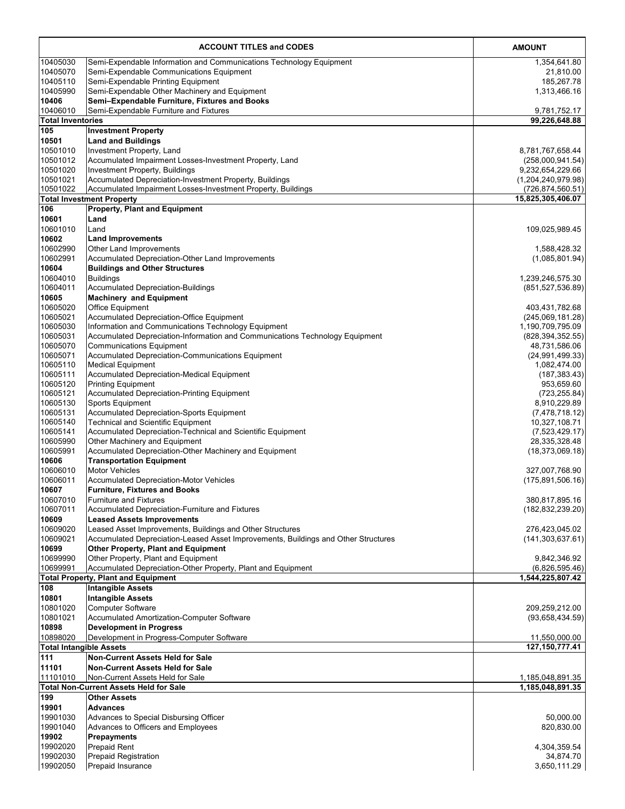|                                | <b>ACCOUNT TITLES and CODES</b>                                                                     | <b>AMOUNT</b>                        |
|--------------------------------|-----------------------------------------------------------------------------------------------------|--------------------------------------|
| 10405030                       | Semi-Expendable Information and Communications Technology Equipment                                 | 1,354,641.80                         |
| 10405070                       | Semi-Expendable Communications Equipment                                                            | 21,810.00                            |
| 10405110                       | Semi-Expendable Printing Equipment                                                                  | 185,267.78                           |
| 10405990                       | Semi-Expendable Other Machinery and Equipment                                                       | 1,313,466.16                         |
| 10406<br>10406010              | Semi-Expendable Furniture, Fixtures and Books                                                       |                                      |
| <b>Total Inventories</b>       | Semi-Expendable Furniture and Fixtures                                                              | 9,781,752.17<br>99,226,648.88        |
| 105                            | <b>Investment Property</b>                                                                          |                                      |
| 10501                          | <b>Land and Buildings</b>                                                                           |                                      |
| 10501010                       | Investment Property, Land                                                                           | 8,781,767,658.44                     |
| 10501012<br>10501020           | Accumulated Impairment Losses-Investment Property, Land<br>Investment Property, Buildings           | (258,000,941.54)<br>9,232,654,229.66 |
| 10501021                       | Accumulated Depreciation-Investment Property, Buildings                                             | (1,204,240,979.98)                   |
| 10501022                       | Accumulated Impairment Losses-Investment Property, Buildings                                        | (726,874,560.51)                     |
|                                | <b>Total Investment Property</b>                                                                    | 15,825,305,406.07                    |
| 106                            | <b>Property, Plant and Equipment</b>                                                                |                                      |
| 10601                          | Land                                                                                                |                                      |
| 10601010<br>10602              | Land<br><b>Land Improvements</b>                                                                    | 109,025,989.45                       |
| 10602990                       | Other Land Improvements                                                                             | 1,588,428.32                         |
| 10602991                       | Accumulated Depreciation-Other Land Improvements                                                    | (1,085,801.94)                       |
| 10604                          | <b>Buildings and Other Structures</b>                                                               |                                      |
| 10604010                       | <b>Buildings</b>                                                                                    | 1,239,246,575.30                     |
| 10604011                       | <b>Accumulated Depreciation-Buildings</b>                                                           | (851, 527, 536.89)                   |
| 10605                          | <b>Machinery and Equipment</b>                                                                      |                                      |
| 10605020<br>10605021           | <b>Office Equipment</b><br>Accumulated Depreciation-Office Equipment                                | 403,431,782.68<br>(245,069,181.28)   |
| 10605030                       | Information and Communications Technology Equipment                                                 | 1,190,709,795.09                     |
| 10605031                       | Accumulated Depreciation-Information and Communications Technology Equipment                        | (828, 394, 352.55)                   |
| 10605070                       | <b>Communications Equipment</b>                                                                     | 48,731,586.06                        |
| 10605071                       | Accumulated Depreciation-Communications Equipment                                                   | (24,991,499.33)                      |
| 10605110                       | <b>Medical Equipment</b>                                                                            | 1,082,474.00                         |
| 10605111<br>10605120           | <b>Accumulated Depreciation-Medical Equipment</b><br><b>Printing Equipment</b>                      | (187, 383.43)<br>953,659.60          |
| 10605121                       | <b>Accumulated Depreciation-Printing Equipment</b>                                                  | (723, 255.84)                        |
| 10605130                       | Sports Equipment                                                                                    | 8,910,229.89                         |
| 10605131                       | <b>Accumulated Depreciation-Sports Equipment</b>                                                    | (7,478,718.12)                       |
| 10605140                       | <b>Technical and Scientific Equipment</b>                                                           | 10,327,108.71                        |
| 10605141<br>10605990           | Accumulated Depreciation-Technical and Scientific Equipment<br>Other Machinery and Equipment        | (7,523,429.17)<br>28,335,328.48      |
| 10605991                       | Accumulated Depreciation-Other Machinery and Equipment                                              | (18, 373, 069.18)                    |
| 10606                          | <b>Transportation Equipment</b>                                                                     |                                      |
| 10606010                       | <b>Motor Vehicles</b>                                                                               | 327,007,768.90                       |
| 10606011                       | <b>Accumulated Depreciation-Motor Vehicles</b>                                                      | (175,891,506.16)                     |
| 10607                          | <b>Furniture, Fixtures and Books</b>                                                                |                                      |
| 10607010<br>10607011           | <b>Furniture and Fixtures</b><br>Accumulated Depreciation-Furniture and Fixtures                    | 380,817,895.16<br>(182, 832, 239.20) |
| 10609                          | <b>Leased Assets Improvements</b>                                                                   |                                      |
| 10609020                       | Leased Asset Improvements, Buildings and Other Structures                                           | 276,423,045.02                       |
| 10609021                       | Accumulated Depreciation-Leased Asset Improvements, Buildings and Other Structures                  | (141, 303, 637.61)                   |
| 10699                          | <b>Other Property, Plant and Equipment</b>                                                          |                                      |
| 10699990<br>10699991           | Other Property, Plant and Equipment<br>Accumulated Depreciation-Other Property, Plant and Equipment | 9,842,346.92<br>(6,826,595.46)       |
|                                | <b>Total Property, Plant and Equipment</b>                                                          | 1,544,225,807.42                     |
| 108                            | <b>Intangible Assets</b>                                                                            |                                      |
| 10801                          | <b>Intangible Assets</b>                                                                            |                                      |
| 10801020                       | <b>Computer Software</b>                                                                            | 209,259,212.00                       |
| 10801021                       | Accumulated Amortization-Computer Software                                                          | (93,658,434.59)                      |
| 10898<br>10898020              | <b>Development in Progress</b>                                                                      |                                      |
| <b>Total Intangible Assets</b> | Development in Progress-Computer Software                                                           | 11,550,000.00<br>127,150,777.41      |
| 111                            | <b>Non-Current Assets Held for Sale</b>                                                             |                                      |
| 11101                          | <b>Non-Current Assets Held for Sale</b>                                                             |                                      |
| 11101010                       | Non-Current Assets Held for Sale                                                                    | 1,185,048,891.35                     |
|                                | <b>Total Non-Current Assets Held for Sale</b>                                                       | 1,185,048,891.35                     |
| 199                            | <b>Other Assets</b>                                                                                 |                                      |
| 19901<br>19901030              | <b>Advances</b><br>Advances to Special Disbursing Officer                                           | 50,000.00                            |
| 19901040                       | Advances to Officers and Employees                                                                  | 820,830.00                           |
| 19902                          | Prepayments                                                                                         |                                      |
| 19902020                       | <b>Prepaid Rent</b>                                                                                 | 4,304,359.54                         |
| 19902030                       | <b>Prepaid Registration</b>                                                                         | 34,874.70                            |
| 19902050                       | <b>Prepaid Insurance</b>                                                                            | 3,650,111.29                         |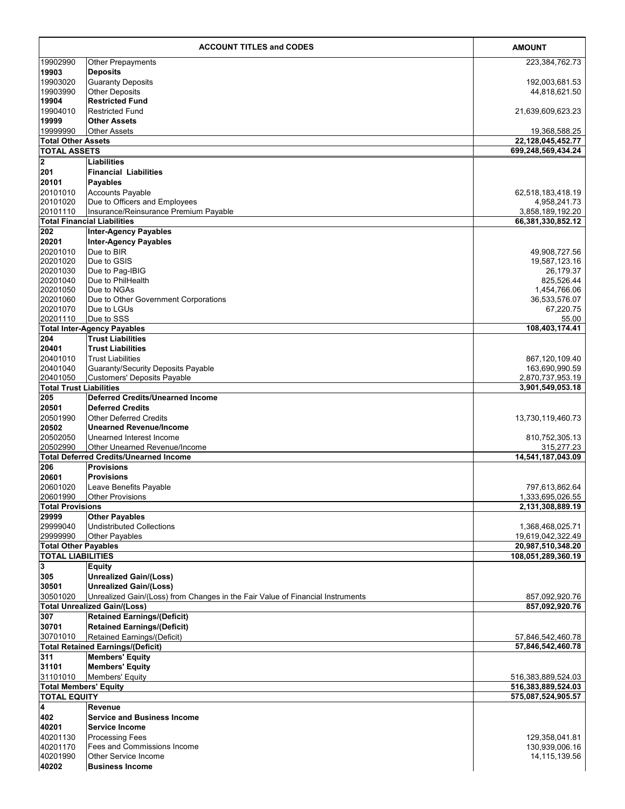|                                          | <b>ACCOUNT TITLES and CODES</b>                                                | <b>AMOUNT</b>                            |
|------------------------------------------|--------------------------------------------------------------------------------|------------------------------------------|
| 19902990                                 | Other Prepayments                                                              | 223,384,762.73                           |
| 19903                                    | <b>Deposits</b>                                                                |                                          |
| 19903020                                 | <b>Guaranty Deposits</b>                                                       | 192,003,681.53                           |
| 19903990                                 | <b>Other Deposits</b>                                                          | 44,818,621.50                            |
| 19904                                    | <b>Restricted Fund</b>                                                         |                                          |
| 19904010<br>19999                        | <b>Restricted Fund</b><br><b>Other Assets</b>                                  | 21,639,609,623.23                        |
| 19999990                                 | <b>Other Assets</b>                                                            | 19,368,588.25                            |
| <b>Total Other Assets</b>                |                                                                                | 22, 128, 045, 452. 77                    |
| <b>TOTAL ASSETS</b>                      |                                                                                | 699.248.569.434.24                       |
| $\overline{\mathbf{2}}$                  | Liabilities                                                                    |                                          |
| 201                                      | <b>Financial Liabilities</b>                                                   |                                          |
| 20101                                    | Payables                                                                       |                                          |
| 20101010                                 | <b>Accounts Payable</b>                                                        | 62,518,183,418.19                        |
| 20101020                                 | Due to Officers and Employees                                                  | 4,958,241.73                             |
| 20101110                                 | Insurance/Reinsurance Premium Payable                                          | 3,858,189,192.20                         |
| 202                                      | <b>Total Financial Liabilities</b><br><b>Inter-Agency Payables</b>             | 66,381,330,852.12                        |
| 20201                                    | <b>Inter-Agency Payables</b>                                                   |                                          |
| 20201010                                 | Due to BIR                                                                     | 49,908,727.56                            |
| 20201020                                 | Due to GSIS                                                                    | 19,587,123.16                            |
| 20201030                                 | Due to Pag-IBIG                                                                | 26,179.37                                |
| 20201040                                 | Due to PhilHealth                                                              | 825.526.44                               |
| 20201050                                 | Due to NGAs                                                                    | 1,454,766.06                             |
| 20201060                                 | Due to Other Government Corporations                                           | 36,533,576.07                            |
| 20201070<br>20201110                     | Due to LGUs<br>Due to SSS                                                      | 67,220.75                                |
|                                          | <b>Total Inter-Agency Payables</b>                                             | 55.00<br>108,403,174.41                  |
| 204                                      | <b>Trust Liabilities</b>                                                       |                                          |
| 20401                                    | <b>Trust Liabilities</b>                                                       |                                          |
| 20401010                                 | <b>Trust Liabilities</b>                                                       | 867,120,109.40                           |
| 20401040                                 | Guaranty/Security Deposits Payable                                             | 163,690,990.59                           |
| 20401050                                 | <b>Customers' Deposits Payable</b>                                             | 2,870,737,953.19                         |
| <b>Total Trust Liabilities</b>           |                                                                                | 3,901,549,053.18                         |
| 205<br>20501                             | <b>Deferred Credits/Unearned Income</b><br><b>Deferred Credits</b>             |                                          |
| 20501990                                 | <b>Other Deferred Credits</b>                                                  | 13,730,119,460.73                        |
| 20502                                    | <b>Unearned Revenue/Income</b>                                                 |                                          |
| 20502050                                 | Unearned Interest Income                                                       | 810,752,305.13                           |
| 20502990                                 | Other Unearned Revenue/Income                                                  | 315,277.23                               |
|                                          | <b>Total Deferred Credits/Unearned Income</b>                                  | 14,541,187,043.09                        |
| 206                                      | <b>Provisions</b>                                                              |                                          |
| 20601                                    | <b>Provisions</b>                                                              |                                          |
| 20601020<br>20601990                     | Leave Benefits Payable                                                         | 797,613,862.64<br>1,333,695,026.55       |
| <b>Total Provisions</b>                  | <b>Other Provisions</b>                                                        | 2,131,308,889.19                         |
| 29999                                    | <b>Other Payables</b>                                                          |                                          |
| 29999040                                 | <b>Undistributed Collections</b>                                               | 1,368,468,025.71                         |
| 29999990                                 | <b>Other Payables</b>                                                          | 19,619,042,322.49                        |
| <b>Total Other Payables</b>              |                                                                                | 20,987,510,348.20                        |
| <b>TOTAL LIABILITIES</b>                 |                                                                                | 108,051,289,360.19                       |
| 3<br>305                                 | <b>Equity</b><br><b>Unrealized Gain/(Loss)</b>                                 |                                          |
| 30501                                    | <b>Unrealized Gain/(Loss)</b>                                                  |                                          |
| 30501020                                 | Unrealized Gain/(Loss) from Changes in the Fair Value of Financial Instruments | 857,092,920.76                           |
|                                          | <b>Total Unrealized Gain/(Loss)</b>                                            | 857,092,920.76                           |
| 307                                      | <b>Retained Earnings/(Deficit)</b>                                             |                                          |
| 30701                                    | <b>Retained Earnings/(Deficit)</b>                                             |                                          |
| 30701010                                 | Retained Earnings/(Deficit)                                                    | 57,846,542,460.78                        |
|                                          | <b>Total Retained Earnings/(Deficit)</b>                                       | 57,846,542,460.78                        |
| 311                                      | <b>Members' Equity</b>                                                         |                                          |
| 31101                                    | <b>Members' Equity</b>                                                         |                                          |
| 31101010<br><b>Total Members' Equity</b> | Members' Equity                                                                | 516,383,889,524.03<br>516,383,889,524.03 |
| <b>TOTAL EQUITY</b>                      |                                                                                | 575,087,524,905.57                       |
| 4                                        | Revenue                                                                        |                                          |
| 402                                      | <b>Service and Business Income</b>                                             |                                          |
| 40201                                    | <b>Service Income</b>                                                          |                                          |
| 40201130                                 | <b>Processing Fees</b>                                                         | 129,358,041.81                           |
| 40201170                                 | Fees and Commissions Income                                                    | 130,939,006.16                           |
| 40201990                                 | Other Service Income                                                           | 14,115,139.56                            |
| 40202                                    | <b>Business Income</b>                                                         |                                          |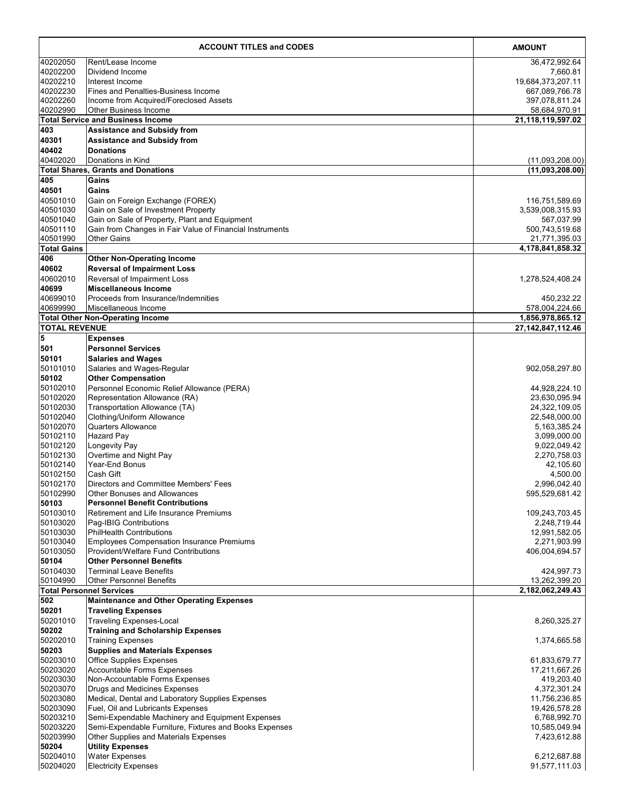| <b>ACCOUNT TITLES and CODES</b> |                                                                                                            | <b>AMOUNT</b>                      |
|---------------------------------|------------------------------------------------------------------------------------------------------------|------------------------------------|
| 40202050                        | Rent/Lease Income                                                                                          | 36,472,992.64                      |
| 40202200                        | Dividend Income                                                                                            | 7,660.81                           |
| 40202210                        | Interest Income                                                                                            | 19,684,373,207.11                  |
| 40202230<br>40202260            | <b>Fines and Penalties-Business Income</b><br>Income from Acquired/Foreclosed Assets                       | 667,089,766.78<br>397,078,811.24   |
| 40202990                        | <b>Other Business Income</b>                                                                               | 58,684,970.91                      |
|                                 | <b>Total Service and Business Income</b>                                                                   | 21,118,119,597.02                  |
| 403                             | <b>Assistance and Subsidy from</b>                                                                         |                                    |
| 40301                           | <b>Assistance and Subsidy from</b>                                                                         |                                    |
| 40402                           | <b>Donations</b>                                                                                           |                                    |
| 40402020                        | Donations in Kind<br><b>Total Shares, Grants and Donations</b>                                             | (11,093,208.00)<br>(11,093,208.00) |
| 405                             | Gains                                                                                                      |                                    |
| 40501                           | Gains                                                                                                      |                                    |
| 40501010                        | Gain on Foreign Exchange (FOREX)                                                                           | 116,751,589.69                     |
| 40501030                        | Gain on Sale of Investment Property                                                                        | 3,539,008,315.93                   |
| 40501040                        | Gain on Sale of Property, Plant and Equipment                                                              | 567,037.99                         |
| 40501110<br>40501990            | Gain from Changes in Fair Value of Financial Instruments<br><b>Other Gains</b>                             | 500,743,519.68<br>21,771,395.03    |
| <b>Total Gains</b>              |                                                                                                            | 4,178,841,858.32                   |
| 406                             | <b>Other Non-Operating Income</b>                                                                          |                                    |
| 40602                           | <b>Reversal of Impairment Loss</b>                                                                         |                                    |
| 40602010                        | Reversal of Impairment Loss                                                                                | 1,278,524,408.24                   |
| 40699                           | Miscellaneous Income                                                                                       |                                    |
| 40699010                        | Proceeds from Insurance/Indemnities                                                                        | 450,232.22                         |
| 40699990                        | Miscellaneous Income<br><b>Total Other Non-Operating Income</b>                                            | 578,004,224.66<br>1,856,978,865.12 |
| <b>TOTAL REVENUE</b>            |                                                                                                            | 27, 142, 847, 112. 46              |
| 5                               | <b>Expenses</b>                                                                                            |                                    |
| 501                             | <b>Personnel Services</b>                                                                                  |                                    |
| 50101                           | <b>Salaries and Wages</b>                                                                                  |                                    |
| 50101010                        | Salaries and Wages-Regular                                                                                 | 902,058,297.80                     |
| 50102                           | <b>Other Compensation</b>                                                                                  |                                    |
| 50102010<br>50102020            | Personnel Economic Relief Allowance (PERA)<br>Representation Allowance (RA)                                | 44,928,224.10                      |
| 50102030                        | Transportation Allowance (TA)                                                                              | 23,630,095.94<br>24,322,109.05     |
| 50102040                        | Clothing/Uniform Allowance                                                                                 | 22,548,000.00                      |
| 50102070                        | <b>Quarters Allowance</b>                                                                                  | 5, 163, 385. 24                    |
| 50102110                        | <b>Hazard Pay</b>                                                                                          | 3,099,000.00                       |
| 50102120                        | Longevity Pay                                                                                              | 9,022,049.42                       |
| 50102130<br>50102140            | Overtime and Night Pay<br>Year-End Bonus                                                                   | 2,270,758.03<br>42,105.60          |
| 50102150                        | Cash Gift                                                                                                  | 4,500.00                           |
| 50102170                        | Directors and Committee Members' Fees                                                                      | 2,996,042.40                       |
| 50102990                        | Other Bonuses and Allowances                                                                               | 595,529,681.42                     |
| 50103                           | <b>Personnel Benefit Contributions</b>                                                                     |                                    |
| 50103010<br>50103020            | Retirement and Life Insurance Premiums<br>Pag-IBIG Contributions                                           | 109,243,703.45<br>2,248,719.44     |
| 50103030                        | <b>PhilHealth Contributions</b>                                                                            | 12,991,582.05                      |
| 50103040                        | <b>Employees Compensation Insurance Premiums</b>                                                           | 2,271,903.99                       |
| 50103050                        | Provident/Welfare Fund Contributions                                                                       | 406,004,694.57                     |
| 50104                           | <b>Other Personnel Benefits</b>                                                                            |                                    |
| 50104030                        | <b>Terminal Leave Benefits</b>                                                                             | 424,997.73                         |
| 50104990                        | <b>Other Personnel Benefits</b><br><b>Total Personnel Services</b>                                         | 13,262,399.20<br>2,182,062,249.43  |
| 502                             | <b>Maintenance and Other Operating Expenses</b>                                                            |                                    |
| 50201                           | <b>Traveling Expenses</b>                                                                                  |                                    |
| 50201010                        | <b>Traveling Expenses-Local</b>                                                                            | 8,260,325.27                       |
| 50202                           | <b>Training and Scholarship Expenses</b>                                                                   |                                    |
| 50202010                        | <b>Training Expenses</b>                                                                                   | 1,374,665.58                       |
| 50203<br>50203010               | <b>Supplies and Materials Expenses</b><br><b>Office Supplies Expenses</b>                                  | 61,833,679.77                      |
| 50203020                        | <b>Accountable Forms Expenses</b>                                                                          | 17,211,667.26                      |
| 50203030                        | Non-Accountable Forms Expenses                                                                             | 419,203.40                         |
| 50203070                        | Drugs and Medicines Expenses                                                                               | 4,372,301.24                       |
| 50203080                        | Medical, Dental and Laboratory Supplies Expenses                                                           | 11,756,236.85                      |
| 50203090                        | Fuel, Oil and Lubricants Expenses                                                                          | 19,426,578.28                      |
| 50203210<br>50203220            | Semi-Expendable Machinery and Equipment Expenses<br>Semi-Expendable Furniture, Fixtures and Books Expenses | 6,768,992.70<br>10,585,049.94      |
| 50203990                        | Other Supplies and Materials Expenses                                                                      | 7,423,612.88                       |
| 50204                           | <b>Utility Expenses</b>                                                                                    |                                    |
| 50204010                        | <b>Water Expenses</b>                                                                                      | 6,212,687.88                       |
| 50204020                        | <b>Electricity Expenses</b>                                                                                | 91,577,111.03                      |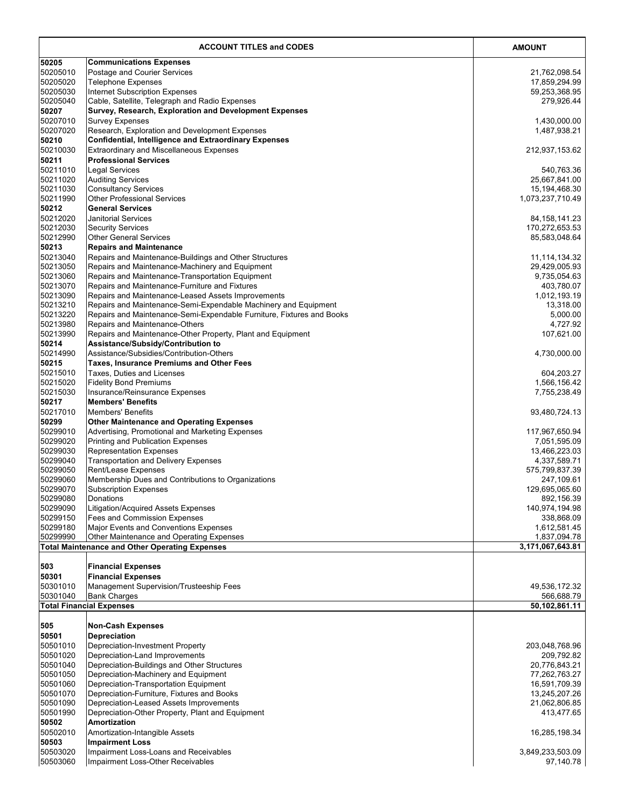|                      | <b>ACCOUNT TITLES and CODES</b>                                                                      | <b>AMOUNT</b>                |
|----------------------|------------------------------------------------------------------------------------------------------|------------------------------|
| 50205                | <b>Communications Expenses</b>                                                                       |                              |
| 50205010             | Postage and Courier Services                                                                         | 21,762,098.54                |
| 50205020             | Telephone Expenses                                                                                   | 17,859,294.99                |
| 50205030             | <b>Internet Subscription Expenses</b>                                                                | 59,253,368.95                |
| 50205040             | Cable, Satellite, Telegraph and Radio Expenses                                                       | 279,926.44                   |
| 50207                | Survey, Research, Exploration and Development Expenses                                               |                              |
| 50207010             | <b>Survey Expenses</b>                                                                               | 1,430,000.00                 |
| 50207020             | Research, Exploration and Development Expenses                                                       | 1,487,938.21                 |
| 50210                | <b>Confidential, Intelligence and Extraordinary Expenses</b>                                         |                              |
| 50210030<br>50211    | Extraordinary and Miscellaneous Expenses<br><b>Professional Services</b>                             | 212,937,153.62               |
| 50211010             | <b>Legal Services</b>                                                                                | 540,763.36                   |
| 50211020             | <b>Auditing Services</b>                                                                             | 25,667,841.00                |
| 50211030             | <b>Consultancy Services</b>                                                                          | 15, 194, 468. 30             |
| 50211990             | Other Professional Services                                                                          | 1,073,237,710.49             |
| 50212                | General Services                                                                                     |                              |
| 50212020             | Janitorial Services                                                                                  | 84, 158, 141. 23             |
| 50212030             | <b>Security Services</b>                                                                             | 170,272,653.53               |
| 50212990             | <b>Other General Services</b>                                                                        | 85,583,048.64                |
| 50213                | Repairs and Maintenance                                                                              |                              |
| 50213040             | Repairs and Maintenance-Buildings and Other Structures                                               | 11, 114, 134. 32             |
| 50213050             | Repairs and Maintenance-Machinery and Equipment                                                      | 29,429,005.93                |
| 50213060             | Repairs and Maintenance-Transportation Equipment                                                     | 9,735,054.63                 |
| 50213070<br>50213090 | Repairs and Maintenance-Furniture and Fixtures<br>Repairs and Maintenance-Leased Assets Improvements | 403,780.07<br>1,012,193.19   |
| 50213210             | Repairs and Maintenance-Semi-Expendable Machinery and Equipment                                      | 13,318.00                    |
| 50213220             | Repairs and Maintenance-Semi-Expendable Furniture, Fixtures and Books                                | 5,000.00                     |
| 50213980             | Repairs and Maintenance-Others                                                                       | 4,727.92                     |
| 50213990             | Repairs and Maintenance-Other Property, Plant and Equipment                                          | 107,621.00                   |
| 50214                | Assistance/Subsidy/Contribution to                                                                   |                              |
| 50214990             | Assistance/Subsidies/Contribution-Others                                                             | 4,730,000.00                 |
| 50215                | Taxes, Insurance Premiums and Other Fees                                                             |                              |
| 50215010             | Taxes, Duties and Licenses                                                                           | 604,203.27                   |
| 50215020             | <b>Fidelity Bond Premiums</b>                                                                        | 1,566,156.42                 |
| 50215030             | Insurance/Reinsurance Expenses<br><b>Members' Benefits</b>                                           | 7,755,238.49                 |
| 50217<br>50217010    | <b>Members' Benefits</b>                                                                             | 93,480,724.13                |
| 50299                | <b>Other Maintenance and Operating Expenses</b>                                                      |                              |
| 50299010             | Advertising, Promotional and Marketing Expenses                                                      | 117,967,650.94               |
| 50299020             | <b>Printing and Publication Expenses</b>                                                             | 7,051,595.09                 |
| 50299030             | <b>Representation Expenses</b>                                                                       | 13,466,223.03                |
| 50299040             | <b>Transportation and Delivery Expenses</b>                                                          | 4,337,589.71                 |
| 50299050             | Rent/Lease Expenses                                                                                  | 575,799,837.39               |
| 50299060             | Membership Dues and Contributions to Organizations                                                   | 247,109.61                   |
| 50299070             | <b>Subscription Expenses</b>                                                                         | 129,695,065.60               |
| 50299080             | Donations                                                                                            | 892,156.39                   |
| 50299090<br>50299150 | Litigation/Acquired Assets Expenses<br><b>Fees and Commission Expenses</b>                           | 140,974,194.98<br>338,868.09 |
| 50299180             | Major Events and Conventions Expenses                                                                | 1,612,581.45                 |
| 50299990             | Other Maintenance and Operating Expenses                                                             | 1,837,094.78                 |
|                      | <b>Total Maintenance and Other Operating Expenses</b>                                                | 3,171,067,643.81             |
|                      |                                                                                                      |                              |
| 503                  | <b>Financial Expenses</b>                                                                            |                              |
| 50301                | <b>Financial Expenses</b>                                                                            |                              |
| 50301010             | Management Supervision/Trusteeship Fees                                                              | 49,536,172.32                |
| 50301040             | <b>Bank Charges</b>                                                                                  | 566,688.79                   |
|                      | <b>Total Financial Expenses</b>                                                                      | 50,102,861.11                |
| 505                  | <b>Non-Cash Expenses</b>                                                                             |                              |
| 50501                | <b>Depreciation</b>                                                                                  |                              |
| 50501010             | Depreciation-Investment Property                                                                     | 203,048,768.96               |
| 50501020             | Depreciation-Land Improvements                                                                       | 209,792.82                   |
| 50501040             | Depreciation-Buildings and Other Structures                                                          | 20,776,843.21                |
| 50501050             | Depreciation-Machinery and Equipment                                                                 | 77,262,763.27                |
| 50501060             | Depreciation-Transportation Equipment                                                                | 16,591,709.39                |
| 50501070             | Depreciation-Furniture, Fixtures and Books                                                           | 13,245,207.26                |
| 50501090             | Depreciation-Leased Assets Improvements                                                              | 21,062,806.85                |
| 50501990<br>50502    | Depreciation-Other Property, Plant and Equipment                                                     | 413,477.65                   |
| 50502010             | Amortization<br>Amortization-Intangible Assets                                                       | 16,285,198.34                |
| 50503                | <b>Impairment Loss</b>                                                                               |                              |
| 50503020             | Impairment Loss-Loans and Receivables                                                                | 3,849,233,503.09             |
| 50503060             | Impairment Loss-Other Receivables                                                                    | 97,140.78                    |